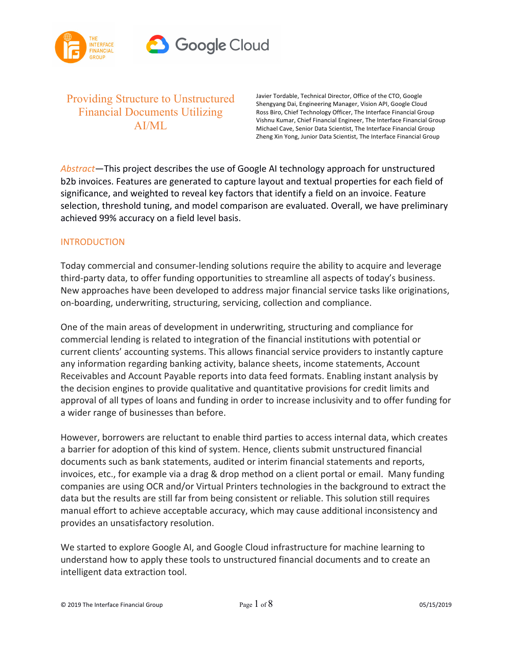

Providing Structure to Unstructured Financial Documents Utilizing AI/ML

Javier Tordable, Technical Director, Office of the CTO, Google Shengyang Dai, Engineering Manager, Vision API, Google Cloud Ross Biro, Chief Technology Officer, The Interface Financial Group Vishnu Kumar, Chief Financial Engineer, The Interface Financial Group Michael Cave, Senior Data Scientist, The Interface Financial Group Zheng Xin Yong, Junior Data Scientist, The Interface Financial Group

*Abstract*—This project describes the use of Google AI technology approach for unstructured b2b invoices. Features are generated to capture layout and textual properties for each field of significance, and weighted to reveal key factors that identify a field on an invoice. Feature selection, threshold tuning, and model comparison are evaluated. Overall, we have preliminary achieved 99% accuracy on a field level basis.

### **INTRODUCTION**

Today commercial and consumer-lending solutions require the ability to acquire and leverage third-party data, to offer funding opportunities to streamline all aspects of today's business. New approaches have been developed to address major financial service tasks like originations, on-boarding, underwriting, structuring, servicing, collection and compliance.

One of the main areas of development in underwriting, structuring and compliance for commercial lending is related to integration of the financial institutions with potential or current clients' accounting systems. This allows financial service providers to instantly capture any information regarding banking activity, balance sheets, income statements, Account Receivables and Account Payable reports into data feed formats. Enabling instant analysis by the decision engines to provide qualitative and quantitative provisions for credit limits and approval of all types of loans and funding in order to increase inclusivity and to offer funding for a wider range of businesses than before.

However, borrowers are reluctant to enable third parties to access internal data, which creates a barrier for adoption of this kind of system. Hence, clients submit unstructured financial documents such as bank statements, audited or interim financial statements and reports, invoices, etc., for example via a drag & drop method on a client portal or email. Many funding companies are using OCR and/or Virtual Printers technologies in the background to extract the data but the results are still far from being consistent or reliable. This solution still requires manual effort to achieve acceptable accuracy, which may cause additional inconsistency and provides an unsatisfactory resolution.

We started to explore Google AI, and Google Cloud infrastructure for machine learning to understand how to apply these tools to unstructured financial documents and to create an intelligent data extraction tool.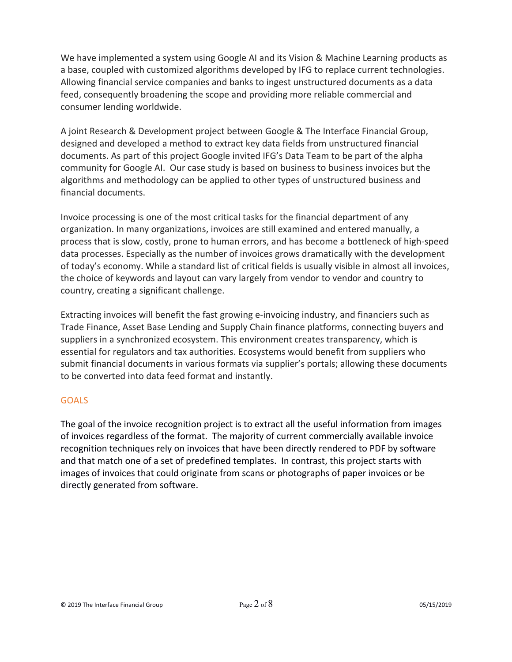We have implemented a system using Google AI and its Vision & Machine Learning products as a base, coupled with customized algorithms developed by IFG to replace current technologies. Allowing financial service companies and banks to ingest unstructured documents as a data feed, consequently broadening the scope and providing more reliable commercial and consumer lending worldwide.

A joint Research & Development project between Google & The Interface Financial Group, designed and developed a method to extract key data fields from unstructured financial documents. As part of this project Google invited IFG's Data Team to be part of the alpha community for Google AI. Our case study is based on business to business invoices but the algorithms and methodology can be applied to other types of unstructured business and financial documents.

Invoice processing is one of the most critical tasks for the financial department of any organization. In many organizations, invoices are still examined and entered manually, a process that is slow, costly, prone to human errors, and has become a bottleneck of high-speed data processes. Especially as the number of invoices grows dramatically with the development of today's economy. While a standard list of critical fields is usually visible in almost all invoices, the choice of keywords and layout can vary largely from vendor to vendor and country to country, creating a significant challenge.

Extracting invoices will benefit the fast growing e-invoicing industry, and financiers such as Trade Finance, Asset Base Lending and Supply Chain finance platforms, connecting buyers and suppliers in a synchronized ecosystem. This environment creates transparency, which is essential for regulators and tax authorities. Ecosystems would benefit from suppliers who submit financial documents in various formats via supplier's portals; allowing these documents to be converted into data feed format and instantly.

# GOALS

The goal of the invoice recognition project is to extract all the useful information from images of invoices regardless of the format. The majority of current commercially available invoice recognition techniques rely on invoices that have been directly rendered to PDF by software and that match one of a set of predefined templates. In contrast, this project starts with images of invoices that could originate from scans or photographs of paper invoices or be directly generated from software.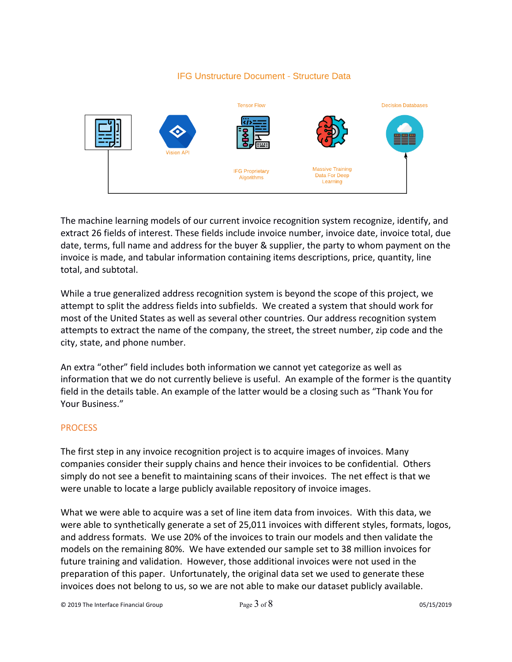## **IFG Unstructure Document - Structure Data**



The machine learning models of our current invoice recognition system recognize, identify, and extract 26 fields of interest. These fields include invoice number, invoice date, invoice total, due date, terms, full name and address for the buyer & supplier, the party to whom payment on the invoice is made, and tabular information containing items descriptions, price, quantity, line total, and subtotal.

While a true generalized address recognition system is beyond the scope of this project, we attempt to split the address fields into subfields. We created a system that should work for most of the United States as well as several other countries. Our address recognition system attempts to extract the name of the company, the street, the street number, zip code and the city, state, and phone number.

An extra "other" field includes both information we cannot yet categorize as well as information that we do not currently believe is useful. An example of the former is the quantity field in the details table. An example of the latter would be a closing such as "Thank You for Your Business."

### **PROCESS**

The first step in any invoice recognition project is to acquire images of invoices. Many companies consider their supply chains and hence their invoices to be confidential. Others simply do not see a benefit to maintaining scans of their invoices. The net effect is that we were unable to locate a large publicly available repository of invoice images.

What we were able to acquire was a set of line item data from invoices. With this data, we were able to synthetically generate a set of 25,011 invoices with different styles, formats, logos, and address formats. We use 20% of the invoices to train our models and then validate the models on the remaining 80%. We have extended our sample set to 38 million invoices for future training and validation. However, those additional invoices were not used in the preparation of this paper. Unfortunately, the original data set we used to generate these invoices does not belong to us, so we are not able to make our dataset publicly available.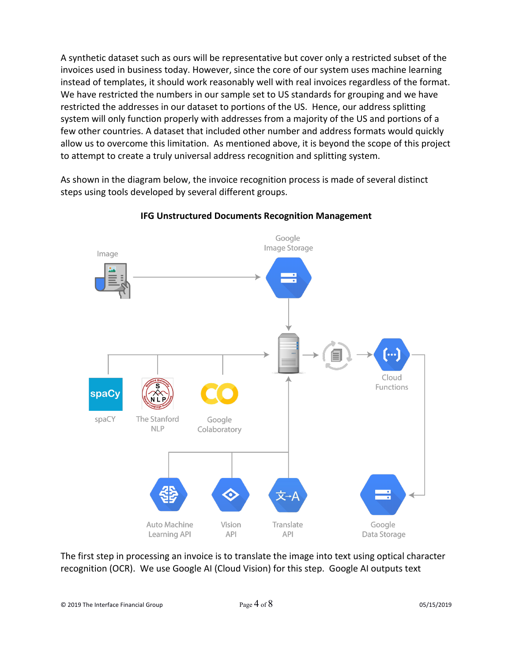A synthetic dataset such as ours will be representative but cover only a restricted subset of the invoices used in business today. However, since the core of our system uses machine learning instead of templates, it should work reasonably well with real invoices regardless of the format. We have restricted the numbers in our sample set to US standards for grouping and we have restricted the addresses in our dataset to portions of the US. Hence, our address splitting system will only function properly with addresses from a majority of the US and portions of a few other countries. A dataset that included other number and address formats would quickly allow us to overcome this limitation. As mentioned above, it is beyond the scope of this project to attempt to create a truly universal address recognition and splitting system.

As shown in the diagram below, the invoice recognition process is made of several distinct steps using tools developed by several different groups.



# **IFG Unstructured Documents Recognition Management**

The first step in processing an invoice is to translate the image into text using optical character recognition (OCR). We use Google AI (Cloud Vision) for this step. Google AI outputs text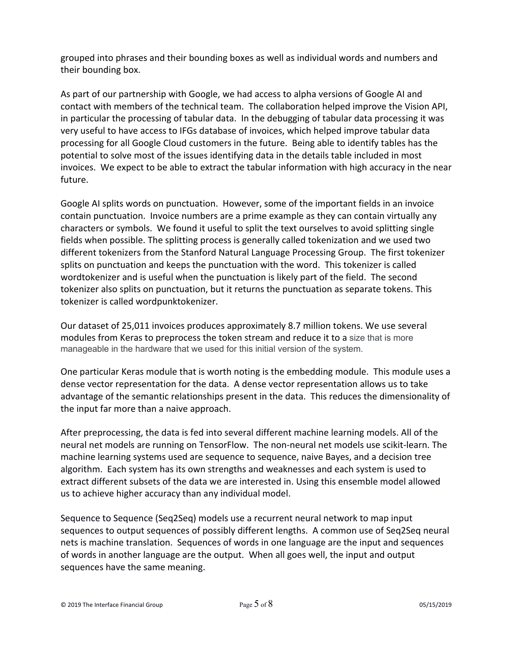grouped into phrases and their bounding boxes as well as individual words and numbers and their bounding box.

As part of our partnership with Google, we had access to alpha versions of Google AI and contact with members of the technical team. The collaboration helped improve the Vision API, in particular the processing of tabular data. In the debugging of tabular data processing it was very useful to have access to IFGs database of invoices, which helped improve tabular data processing for all Google Cloud customers in the future. Being able to identify tables has the potential to solve most of the issues identifying data in the details table included in most invoices. We expect to be able to extract the tabular information with high accuracy in the near future.

Google AI splits words on punctuation. However, some of the important fields in an invoice contain punctuation. Invoice numbers are a prime example as they can contain virtually any characters or symbols. We found it useful to split the text ourselves to avoid splitting single fields when possible. The splitting process is generally called tokenization and we used two different tokenizers from the Stanford Natural Language Processing Group. The first tokenizer splits on punctuation and keeps the punctuation with the word. This tokenizer is called wordtokenizer and is useful when the punctuation is likely part of the field. The second tokenizer also splits on punctuation, but it returns the punctuation as separate tokens. This tokenizer is called wordpunktokenizer.

Our dataset of 25,011 invoices produces approximately 8.7 million tokens. We use several modules from Keras to preprocess the token stream and reduce it to a size that is more manageable in the hardware that we used for this initial version of the system.

One particular Keras module that is worth noting is the embedding module. This module uses a dense vector representation for the data. A dense vector representation allows us to take advantage of the semantic relationships present in the data. This reduces the dimensionality of the input far more than a naive approach.

After preprocessing, the data is fed into several different machine learning models. All of the neural net models are running on TensorFlow. The non-neural net models use scikit-learn. The machine learning systems used are sequence to sequence, naive Bayes, and a decision tree algorithm. Each system has its own strengths and weaknesses and each system is used to extract different subsets of the data we are interested in. Using this ensemble model allowed us to achieve higher accuracy than any individual model.

Sequence to Sequence (Seq2Seq) models use a recurrent neural network to map input sequences to output sequences of possibly different lengths. A common use of Seq2Seq neural nets is machine translation. Sequences of words in one language are the input and sequences of words in another language are the output. When all goes well, the input and output sequences have the same meaning.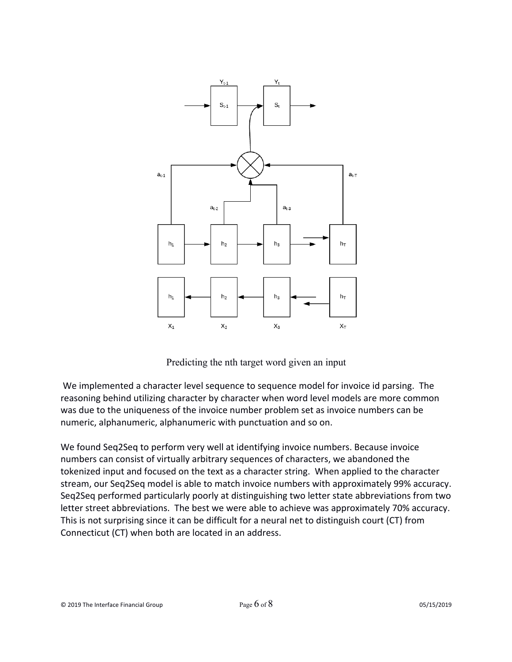

Predicting the nth target word given an input

We implemented a character level sequence to sequence model for invoice id parsing. The reasoning behind utilizing character by character when word level models are more common was due to the uniqueness of the invoice number problem set as invoice numbers can be numeric, alphanumeric, alphanumeric with punctuation and so on.

We found Seq2Seq to perform very well at identifying invoice numbers. Because invoice numbers can consist of virtually arbitrary sequences of characters, we abandoned the tokenized input and focused on the text as a character string. When applied to the character stream, our Seq2Seq model is able to match invoice numbers with approximately 99% accuracy. Seq2Seq performed particularly poorly at distinguishing two letter state abbreviations from two letter street abbreviations. The best we were able to achieve was approximately 70% accuracy. This is not surprising since it can be difficult for a neural net to distinguish court (CT) from Connecticut (CT) when both are located in an address.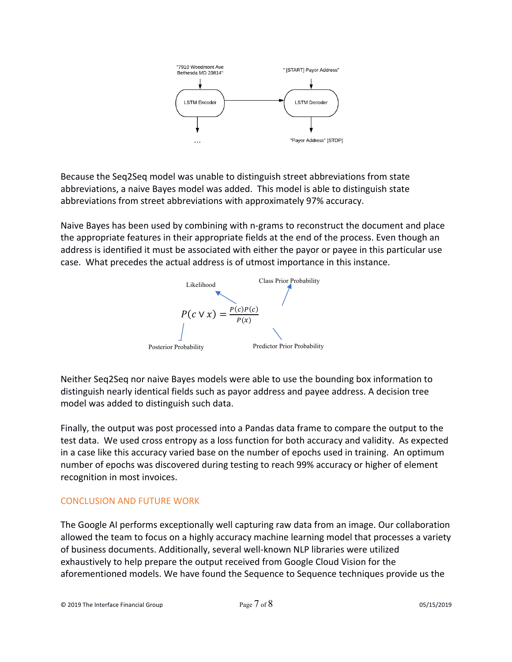

Because the Seq2Seq model was unable to distinguish street abbreviations from state abbreviations, a naive Bayes model was added. This model is able to distinguish state abbreviations from street abbreviations with approximately 97% accuracy.

Naive Bayes has been used by combining with n-grams to reconstruct the document and place the appropriate features in their appropriate fields at the end of the process. Even though an address is identified it must be associated with either the payor or payee in this particular use case. What precedes the actual address is of utmost importance in this instance.



Neither Seq2Seq nor naive Bayes models were able to use the bounding box information to distinguish nearly identical fields such as payor address and payee address. A decision tree model was added to distinguish such data.

Finally, the output was post processed into a Pandas data frame to compare the output to the test data. We used cross entropy as a loss function for both accuracy and validity. As expected in a case like this accuracy varied base on the number of epochs used in training. An optimum number of epochs was discovered during testing to reach 99% accuracy or higher of element recognition in most invoices.

# CONCLUSION AND FUTURE WORK

The Google AI performs exceptionally well capturing raw data from an image. Our collaboration allowed the team to focus on a highly accuracy machine learning model that processes a variety of business documents. Additionally, several well-known NLP libraries were utilized exhaustively to help prepare the output received from Google Cloud Vision for the aforementioned models. We have found the Sequence to Sequence techniques provide us the